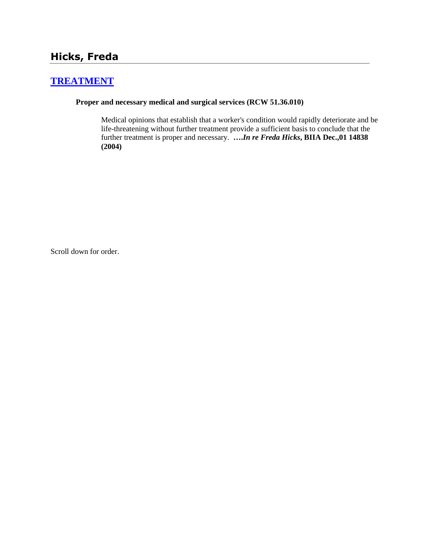# **[TREATMENT](http://www.biia.wa.gov/SDSubjectIndex.html#TREATMENT)**

#### **Proper and necessary medical and surgical services (RCW 51.36.010)**

Medical opinions that establish that a worker's condition would rapidly deteriorate and be life-threatening without further treatment provide a sufficient basis to conclude that the further treatment is proper and necessary. **….***In re Freda Hicks***, BIIA Dec.,01 14838 (2004)** 

Scroll down for order.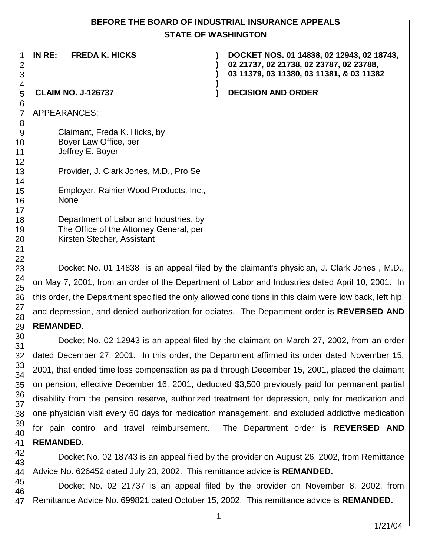## **BEFORE THE BOARD OF INDUSTRIAL INSURANCE APPEALS STATE OF WASHINGTON**

**IN RE: FREDA K. HICKS ) ) ) DOCKET NOS. 01 14838, 02 12943, 02 18743, 02 21737, 02 21738, 02 23787, 02 23788, 03 11379, 03 11380, 03 11381, & 03 11382 ) CLAIM NO. J-126737 ) DECISION AND ORDER** APPEARANCES: Claimant, Freda K. Hicks, by

Boyer Law Office, per Jeffrey E. Boyer

Provider, J. Clark Jones, M.D., Pro Se

Employer, Rainier Wood Products, Inc., None

Department of Labor and Industries, by The Office of the Attorney General, per Kirsten Stecher, Assistant

Docket No. 01 14838 is an appeal filed by the claimant's physician, J. Clark Jones , M.D., on May 7, 2001, from an order of the Department of Labor and Industries dated April 10, 2001. In this order, the Department specified the only allowed conditions in this claim were low back, left hip, and depression, and denied authorization for opiates. The Department order is **REVERSED AND REMANDED**.

# Docket No. 02 12943 is an appeal filed by the claimant on March 27, 2002, from an order dated December 27, 2001. In this order, the Department affirmed its order dated November 15, 2001, that ended time loss compensation as paid through December 15, 2001, placed the claimant on pension, effective December 16, 2001, deducted \$3,500 previously paid for permanent partial disability from the pension reserve, authorized treatment for depression, only for medication and one physician visit every 60 days for medication management, and excluded addictive medication for pain control and travel reimbursement. The Department order is **REVERSED AND REMANDED.**

Docket No. 02 18743 is an appeal filed by the provider on August 26, 2002, from Remittance Advice No. 626452 dated July 23, 2002. This remittance advice is **REMANDED.**

47 Docket No. 02 21737 is an appeal filed by the provider on November 8, 2002, from Remittance Advice No. 699821 dated October 15, 2002. This remittance advice is **REMANDED.**

1/21/04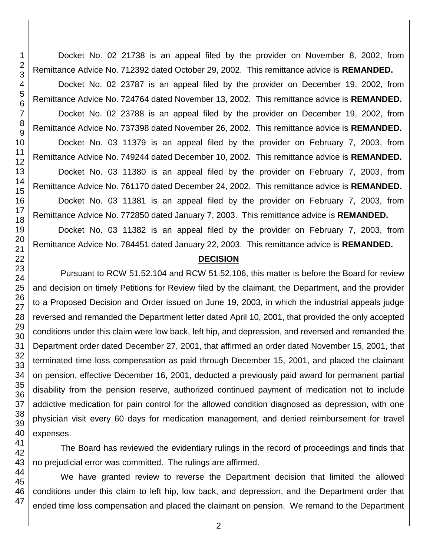Docket No. 02 21738 is an appeal filed by the provider on November 8, 2002, from Remittance Advice No. 712392 dated October 29, 2002. This remittance advice is **REMANDED.**

Docket No. 02 23787 is an appeal filed by the provider on December 19, 2002, from Remittance Advice No. 724764 dated November 13, 2002. This remittance advice is **REMANDED.** Docket No. 02 23788 is an appeal filed by the provider on December 19, 2002, from

Remittance Advice No. 737398 dated November 26, 2002. This remittance advice is **REMANDED.**

Docket No. 03 11379 is an appeal filed by the provider on February 7, 2003, from Remittance Advice No. 749244 dated December 10, 2002. This remittance advice is **REMANDED.**

Docket No. 03 11380 is an appeal filed by the provider on February 7, 2003, from Remittance Advice No. 761170 dated December 24, 2002. This remittance advice is **REMANDED.**

Docket No. 03 11381 is an appeal filed by the provider on February 7, 2003, from Remittance Advice No. 772850 dated January 7, 2003. This remittance advice is **REMANDED.**

Docket No. 03 11382 is an appeal filed by the provider on February 7, 2003, from Remittance Advice No. 784451 dated January 22, 2003. This remittance advice is **REMANDED.**

## **DECISION**

Pursuant to RCW 51.52.104 and RCW 51.52.106, this matter is before the Board for review and decision on timely Petitions for Review filed by the claimant, the Department, and the provider to a Proposed Decision and Order issued on June 19, 2003, in which the industrial appeals judge reversed and remanded the Department letter dated April 10, 2001, that provided the only accepted conditions under this claim were low back, left hip, and depression, and reversed and remanded the Department order dated December 27, 2001, that affirmed an order dated November 15, 2001, that terminated time loss compensation as paid through December 15, 2001, and placed the claimant on pension, effective December 16, 2001, deducted a previously paid award for permanent partial disability from the pension reserve, authorized continued payment of medication not to include addictive medication for pain control for the allowed condition diagnosed as depression, with one physician visit every 60 days for medication management, and denied reimbursement for travel expenses.

The Board has reviewed the evidentiary rulings in the record of proceedings and finds that no prejudicial error was committed. The rulings are affirmed.

We have granted review to reverse the Department decision that limited the allowed conditions under this claim to left hip, low back, and depression, and the Department order that ended time loss compensation and placed the claimant on pension. We remand to the Department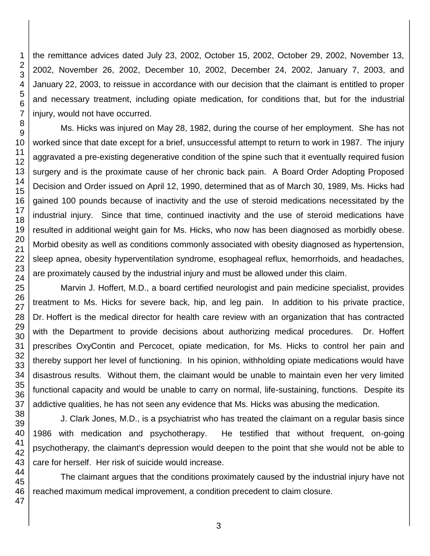the remittance advices dated July 23, 2002, October 15, 2002, October 29, 2002, November 13, 2002, November 26, 2002, December 10, 2002, December 24, 2002, January 7, 2003, and January 22, 2003, to reissue in accordance with our decision that the claimant is entitled to proper and necessary treatment, including opiate medication, for conditions that, but for the industrial injury, would not have occurred.

Ms. Hicks was injured on May 28, 1982, during the course of her employment. She has not worked since that date except for a brief, unsuccessful attempt to return to work in 1987. The injury aggravated a pre-existing degenerative condition of the spine such that it eventually required fusion surgery and is the proximate cause of her chronic back pain. A Board Order Adopting Proposed Decision and Order issued on April 12, 1990, determined that as of March 30, 1989, Ms. Hicks had gained 100 pounds because of inactivity and the use of steroid medications necessitated by the industrial injury. Since that time, continued inactivity and the use of steroid medications have resulted in additional weight gain for Ms. Hicks, who now has been diagnosed as morbidly obese. Morbid obesity as well as conditions commonly associated with obesity diagnosed as hypertension, sleep apnea, obesity hyperventilation syndrome, esophageal reflux, hemorrhoids, and headaches, are proximately caused by the industrial injury and must be allowed under this claim.

Marvin J. Hoffert, M.D., a board certified neurologist and pain medicine specialist, provides treatment to Ms. Hicks for severe back, hip, and leg pain. In addition to his private practice, Dr. Hoffert is the medical director for health care review with an organization that has contracted with the Department to provide decisions about authorizing medical procedures. Dr. Hoffert prescribes OxyContin and Percocet, opiate medication, for Ms. Hicks to control her pain and thereby support her level of functioning. In his opinion, withholding opiate medications would have disastrous results. Without them, the claimant would be unable to maintain even her very limited functional capacity and would be unable to carry on normal, life-sustaining, functions. Despite its addictive qualities, he has not seen any evidence that Ms. Hicks was abusing the medication.

J. Clark Jones, M.D., is a psychiatrist who has treated the claimant on a regular basis since 1986 with medication and psychotherapy. He testified that without frequent, on-going psychotherapy, the claimant's depression would deepen to the point that she would not be able to care for herself. Her risk of suicide would increase.

The claimant argues that the conditions proximately caused by the industrial injury have not reached maximum medical improvement, a condition precedent to claim closure.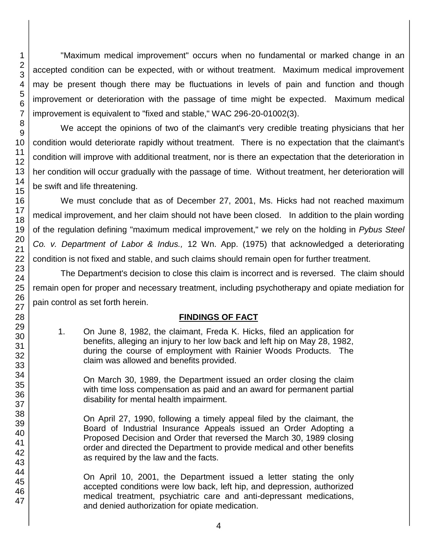"Maximum medical improvement" occurs when no fundamental or marked change in an accepted condition can be expected, with or without treatment. Maximum medical improvement may be present though there may be fluctuations in levels of pain and function and though improvement or deterioration with the passage of time might be expected. Maximum medical improvement is equivalent to "fixed and stable," WAC 296-20-01002(3).

We accept the opinions of two of the claimant's very credible treating physicians that her condition would deteriorate rapidly without treatment. There is no expectation that the claimant's condition will improve with additional treatment, nor is there an expectation that the deterioration in her condition will occur gradually with the passage of time. Without treatment, her deterioration will be swift and life threatening.

We must conclude that as of December 27, 2001, Ms. Hicks had not reached maximum medical improvement, and her claim should not have been closed. In addition to the plain wording of the regulation defining "maximum medical improvement," we rely on the holding in *Pybus Steel Co. v. Department of Labor & Indus.,* 12 Wn. App. (1975) that acknowledged a deteriorating condition is not fixed and stable, and such claims should remain open for further treatment.

The Department's decision to close this claim is incorrect and is reversed. The claim should remain open for proper and necessary treatment, including psychotherapy and opiate mediation for pain control as set forth herein.

## **FINDINGS OF FACT**

1. On June 8, 1982, the claimant, Freda K. Hicks, filed an application for benefits, alleging an injury to her low back and left hip on May 28, 1982, during the course of employment with Rainier Woods Products. The claim was allowed and benefits provided.

On March 30, 1989, the Department issued an order closing the claim with time loss compensation as paid and an award for permanent partial disability for mental health impairment.

On April 27, 1990, following a timely appeal filed by the claimant, the Board of Industrial Insurance Appeals issued an Order Adopting a Proposed Decision and Order that reversed the March 30, 1989 closing order and directed the Department to provide medical and other benefits as required by the law and the facts.

On April 10, 2001, the Department issued a letter stating the only accepted conditions were low back, left hip, and depression, authorized medical treatment, psychiatric care and anti-depressant medications, and denied authorization for opiate medication.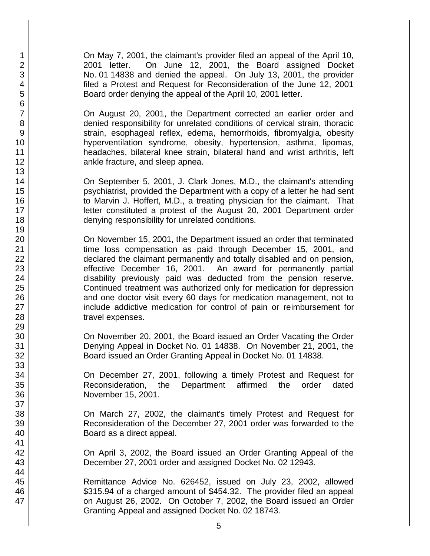On May 7, 2001, the claimant's provider filed an appeal of the April 10, 2001 letter. On June 12, 2001, the Board assigned Docket No. 01 14838 and denied the appeal. On July 13, 2001, the provider filed a Protest and Request for Reconsideration of the June 12, 2001 Board order denying the appeal of the April 10, 2001 letter.

On August 20, 2001, the Department corrected an earlier order and denied responsibility for unrelated conditions of cervical strain, thoracic strain, esophageal reflex, edema, hemorrhoids, fibromyalgia, obesity hyperventilation syndrome, obesity, hypertension, asthma, lipomas, headaches, bilateral knee strain, bilateral hand and wrist arthritis, left ankle fracture, and sleep apnea.

On September 5, 2001, J. Clark Jones, M.D., the claimant's attending psychiatrist, provided the Department with a copy of a letter he had sent to Marvin J. Hoffert, M.D., a treating physician for the claimant. That letter constituted a protest of the August 20, 2001 Department order denying responsibility for unrelated conditions.

On November 15, 2001, the Department issued an order that terminated time loss compensation as paid through December 15, 2001, and declared the claimant permanently and totally disabled and on pension, effective December 16, 2001. An award for permanently partial disability previously paid was deducted from the pension reserve. Continued treatment was authorized only for medication for depression and one doctor visit every 60 days for medication management, not to include addictive medication for control of pain or reimbursement for travel expenses.

On November 20, 2001, the Board issued an Order Vacating the Order Denying Appeal in Docket No. 01 14838. On November 21, 2001, the Board issued an Order Granting Appeal in Docket No. 01 14838.

On December 27, 2001, following a timely Protest and Request for Reconsideration, the Department affirmed the order dated November 15, 2001.

On March 27, 2002, the claimant's timely Protest and Request for Reconsideration of the December 27, 2001 order was forwarded to the Board as a direct appeal.

On April 3, 2002, the Board issued an Order Granting Appeal of the December 27, 2001 order and assigned Docket No. 02 12943.

Remittance Advice No. 626452, issued on July 23, 2002, allowed \$315.94 of a charged amount of \$454.32. The provider filed an appeal on August 26, 2002. On October 7, 2002, the Board issued an Order Granting Appeal and assigned Docket No. 02 18743.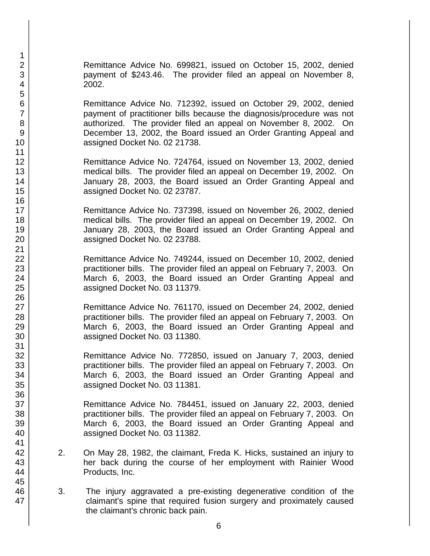Remittance Advice No. 699821, issued on October 15, 2002, denied payment of \$243.46. The provider filed an appeal on November 8, 2002.

Remittance Advice No. 712392, issued on October 29, 2002, denied payment of practitioner bills because the diagnosis/procedure was not authorized. The provider filed an appeal on November 8, 2002. On December 13, 2002, the Board issued an Order Granting Appeal and assigned Docket No. 02 21738.

Remittance Advice No. 724764, issued on November 13, 2002, denied medical bills. The provider filed an appeal on December 19, 2002. On January 28, 2003, the Board issued an Order Granting Appeal and assigned Docket No. 02 23787.

Remittance Advice No. 737398, issued on November 26, 2002, denied medical bills. The provider filed an appeal on December 19, 2002. On January 28, 2003, the Board issued an Order Granting Appeal and assigned Docket No. 02 23788.

Remittance Advice No. 749244, issued on December 10, 2002, denied practitioner bills. The provider filed an appeal on February 7, 2003. On March 6, 2003, the Board issued an Order Granting Appeal and assigned Docket No. 03 11379.

Remittance Advice No. 761170, issued on December 24, 2002, denied practitioner bills. The provider filed an appeal on February 7, 2003. On March 6, 2003, the Board issued an Order Granting Appeal and assigned Docket No. 03 11380.

Remittance Advice No. 772850, issued on January 7, 2003, denied practitioner bills. The provider filed an appeal on February 7, 2003. On March 6, 2003, the Board issued an Order Granting Appeal and assigned Docket No. 03 11381.

Remittance Advice No. 784451, issued on January 22, 2003, denied practitioner bills. The provider filed an appeal on February 7, 2003. On March 6, 2003, the Board issued an Order Granting Appeal and assigned Docket No. 03 11382.

- 2. On May 28, 1982, the claimant, Freda K. Hicks, sustained an injury to her back during the course of her employment with Rainier Wood Products, Inc.
- 3. The injury aggravated a pre-existing degenerative condition of the claimant's spine that required fusion surgery and proximately caused the claimant's chronic back pain.
- 1 2 3 4 5 6 7 8 9 10 11 12 13 14 15 16 17 18 19 20 21 22 23 24 25 26 27 28 29 30 31 32 33 34 35 36 37 38 39 40 41 42 43 44 45 46 47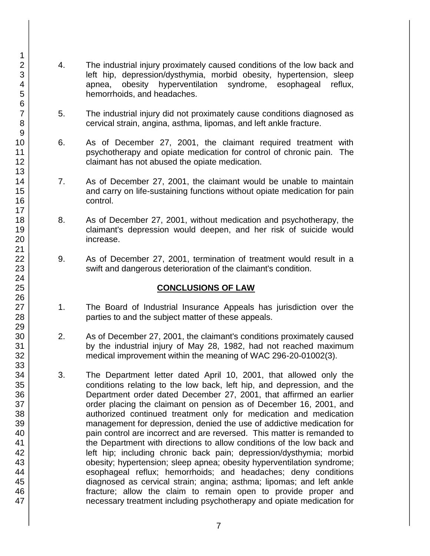- 4. The industrial injury proximately caused conditions of the low back and left hip, depression/dysthymia, morbid obesity, hypertension, sleep apnea, obesity hyperventilation syndrome, esophageal reflux, hemorrhoids, and headaches.
- 5. The industrial injury did not proximately cause conditions diagnosed as cervical strain, angina, asthma, lipomas, and left ankle fracture.
- 6. As of December 27, 2001, the claimant required treatment with psychotherapy and opiate medication for control of chronic pain. The claimant has not abused the opiate medication.
- 7. As of December 27, 2001, the claimant would be unable to maintain and carry on life-sustaining functions without opiate medication for pain control.
- 8. As of December 27, 2001, without medication and psychotherapy, the claimant's depression would deepen, and her risk of suicide would increase.
- 9. As of December 27, 2001, termination of treatment would result in a swift and dangerous deterioration of the claimant's condition.

## **CONCLUSIONS OF LAW**

- 1. The Board of Industrial Insurance Appeals has jurisdiction over the parties to and the subject matter of these appeals.
- 2. As of December 27, 2001, the claimant's conditions proximately caused by the industrial injury of May 28, 1982, had not reached maximum medical improvement within the meaning of WAC 296-20-01002(3).
- 3. The Department letter dated April 10, 2001, that allowed only the conditions relating to the low back, left hip, and depression, and the Department order dated December 27, 2001, that affirmed an earlier order placing the claimant on pension as of December 16, 2001, and authorized continued treatment only for medication and medication management for depression, denied the use of addictive medication for pain control are incorrect and are reversed. This matter is remanded to the Department with directions to allow conditions of the low back and left hip; including chronic back pain; depression/dysthymia; morbid obesity; hypertension; sleep apnea; obesity hyperventilation syndrome; esophageal reflux; hemorrhoids; and headaches; deny conditions diagnosed as cervical strain; angina; asthma; lipomas; and left ankle fracture; allow the claim to remain open to provide proper and necessary treatment including psychotherapy and opiate medication for